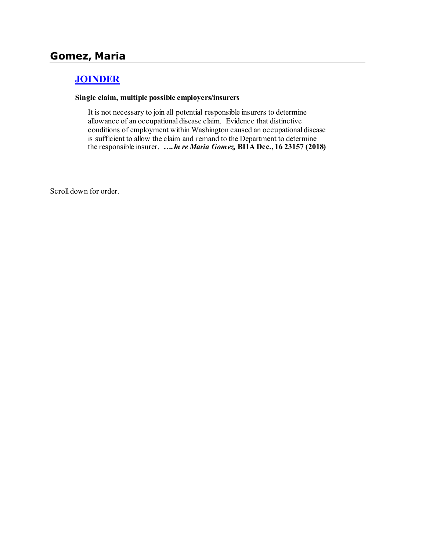# **[JOINDER](http://www.biia.wa.gov/SDSubjectIndex.html#JOINDER)**

#### **Single claim, multiple possible employers/insurers**

It is not necessary to join all potential responsible insurers to determine allowance of an occupational disease claim. Evidence that distinctive conditions of employment within Washington caused an occupational disease is sufficient to allow the claim and remand to the Department to determine the responsible insurer. *….In re Maria Gomez,* **BIIA Dec., 16 23157 (2018)**

Scroll down for order.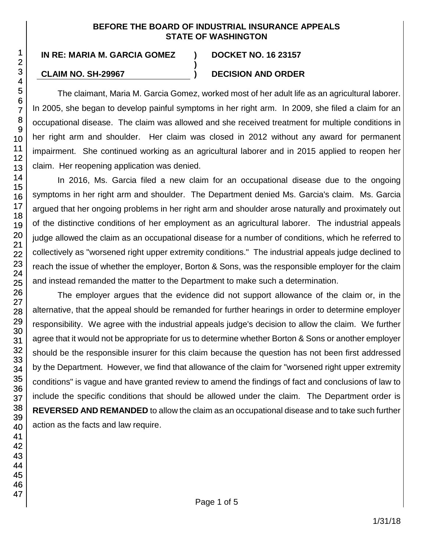### **BEFORE THE BOARD OF INDUSTRIAL INSURANCE APPEALS STATE OF WASHINGTON**

**)**

**IN RE: MARIA M. GARCIA GOMEZ ) DOCKET NO. 16 23157**

# **CLAIM NO. SH-29967 ) DECISION AND ORDER**

The claimant, Maria M. Garcia Gomez, worked most of her adult life as an agricultural laborer. In 2005, she began to develop painful symptoms in her right arm. In 2009, she filed a claim for an occupational disease. The claim was allowed and she received treatment for multiple conditions in her right arm and shoulder. Her claim was closed in 2012 without any award for permanent impairment. She continued working as an agricultural laborer and in 2015 applied to reopen her claim. Her reopening application was denied.

In 2016, Ms. Garcia filed a new claim for an occupational disease due to the ongoing symptoms in her right arm and shoulder. The Department denied Ms. Garcia's claim. Ms. Garcia argued that her ongoing problems in her right arm and shoulder arose naturally and proximately out of the distinctive conditions of her employment as an agricultural laborer. The industrial appeals judge allowed the claim as an occupational disease for a number of conditions, which he referred to collectively as "worsened right upper extremity conditions." The industrial appeals judge declined to reach the issue of whether the employer, Borton & Sons, was the responsible employer for the claim and instead remanded the matter to the Department to make such a determination.

The employer argues that the evidence did not support allowance of the claim or, in the alternative, that the appeal should be remanded for further hearings in order to determine employer responsibility. We agree with the industrial appeals judge's decision to allow the claim. We further agree that it would not be appropriate for us to determine whether Borton & Sons or another employer should be the responsible insurer for this claim because the question has not been first addressed by the Department. However, we find that allowance of the claim for "worsened right upper extremity conditions" is vague and have granted review to amend the findings of fact and conclusions of law to include the specific conditions that should be allowed under the claim. The Department order is **REVERSED AND REMANDED** to allow the claim as an occupational disease and to take such further action as the facts and law require.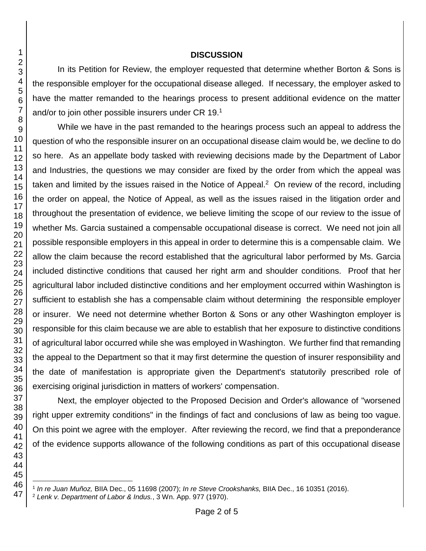#### **DISCUSSION**

In its Petition for Review, the employer requested that determine whether Borton & Sons is the responsible employer for the occupational disease alleged. If necessary, the employer asked to have the matter remanded to the hearings process to present additional evidence on the matter and/or to join other possible insurers under CR 19.<sup>1</sup>

While we have in the past remanded to the hearings process such an appeal to address the question of who the responsible insurer on an occupational disease claim would be, we decline to do so here. As an appellate body tasked with reviewing decisions made by the Department of Labor and Industries, the questions we may consider are fixed by the order from which the appeal was taken and limited by the issues raised in the Notice of Appeal.<sup>2</sup> On review of the record, including the order on appeal, the Notice of Appeal, as well as the issues raised in the litigation order and throughout the presentation of evidence, we believe limiting the scope of our review to the issue of whether Ms. Garcia sustained a compensable occupational disease is correct. We need not join all possible responsible employers in this appeal in order to determine this is a compensable claim. We allow the claim because the record established that the agricultural labor performed by Ms. Garcia included distinctive conditions that caused her right arm and shoulder conditions. Proof that her agricultural labor included distinctive conditions and her employment occurred within Washington is sufficient to establish she has a compensable claim without determining the responsible employer or insurer. We need not determine whether Borton & Sons or any other Washington employer is responsible for this claim because we are able to establish that her exposure to distinctive conditions of agricultural labor occurred while she was employed in Washington. We further find that remanding the appeal to the Department so that it may first determine the question of insurer responsibility and the date of manifestation is appropriate given the Department's statutorily prescribed role of exercising original jurisdiction in matters of workers' compensation.

Next, the employer objected to the Proposed Decision and Order's allowance of "worsened right upper extremity conditions" in the findings of fact and conclusions of law as being too vague. On this point we agree with the employer. After reviewing the record, we find that a preponderance of the evidence supports allowance of the following conditions as part of this occupational disease

l

*In re Juan Muñoz,* BIIA Dec., 05 11698 (2007); *In re Steve Crookshanks,* BIIA Dec., 16 10351 (2016).

*Lenk v. Department of Labor & Indus.*, 3 Wn. App. 977 (1970).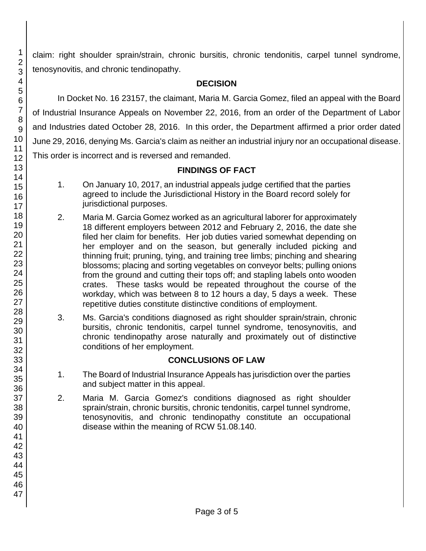claim: right shoulder sprain/strain, chronic bursitis, chronic tendonitis, carpel tunnel syndrome, tenosynovitis, and chronic tendinopathy.

## **DECISION**

In Docket No. 16 23157, the claimant, Maria M. Garcia Gomez, filed an appeal with the Board of Industrial Insurance Appeals on November 22, 2016, from an order of the Department of Labor and Industries dated October 28, 2016. In this order, the Department affirmed a prior order dated June 29, 2016, denying Ms. Garcia's claim as neither an industrial injury nor an occupational disease. This order is incorrect and is reversed and remanded.

## **FINDINGS OF FACT**

- 1. On January 10, 2017, an industrial appeals judge certified that the parties agreed to include the Jurisdictional History in the Board record solely for jurisdictional purposes.
- 2. Maria M. Garcia Gomez worked as an agricultural laborer for approximately 18 different employers between 2012 and February 2, 2016, the date she filed her claim for benefits. Her job duties varied somewhat depending on her employer and on the season, but generally included picking and thinning fruit; pruning, tying, and training tree limbs; pinching and shearing blossoms; placing and sorting vegetables on conveyor belts; pulling onions from the ground and cutting their tops off; and stapling labels onto wooden crates. These tasks would be repeated throughout the course of the workday, which was between 8 to 12 hours a day, 5 days a week. These repetitive duties constitute distinctive conditions of employment.
- 3. Ms. Garcia's conditions diagnosed as right shoulder sprain/strain, chronic bursitis, chronic tendonitis, carpel tunnel syndrome, tenosynovitis, and chronic tendinopathy arose naturally and proximately out of distinctive conditions of her employment.

## **CONCLUSIONS OF LAW**

- 1. The Board of Industrial Insurance Appeals has jurisdiction over the parties and subject matter in this appeal.
- 2. Maria M. Garcia Gomez's conditions diagnosed as right shoulder sprain/strain, chronic bursitis, chronic tendonitis, carpel tunnel syndrome, tenosynovitis, and chronic tendinopathy constitute an occupational disease within the meaning of RCW 51.08.140.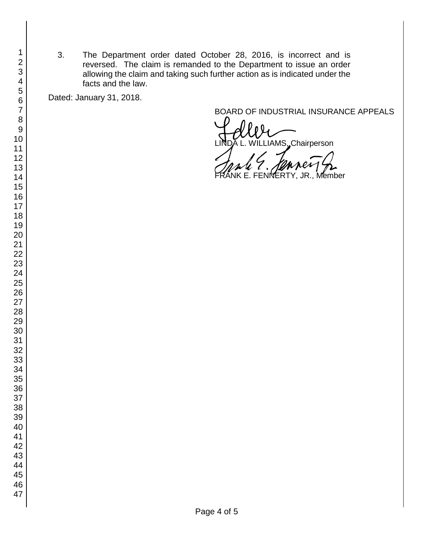3. The Department order dated October 28, 2016, is incorrect and is reversed. The claim is remanded to the Department to issue an order allowing the claim and taking such further action as is indicated under the facts and the law.

Dated: January 31, 2018.

BOARD OF INDUSTRIAL INSURANCE APPEALS<br>
LINDA L. WILLIAMS, Chairperson ILLIAMS, Chairperson

**YERTY, JR., Member**